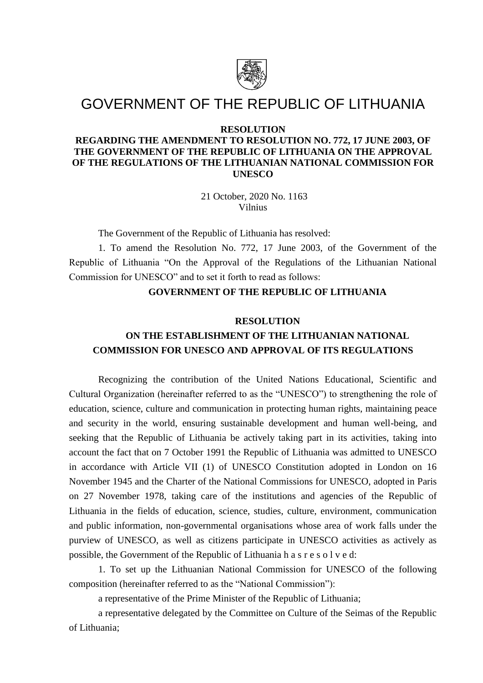

# GOVERNMENT OF THE REPUBLIC OF LITHUANIA

### **RESOLUTION**

### **REGARDING THE AMENDMENT TO RESOLUTION NO. 772, 17 JUNE 2003, OF THE GOVERNMENT OF THE REPUBLIC OF LITHUANIA ON THE APPROVAL OF THE REGULATIONS OF THE LITHUANIAN NATIONAL COMMISSION FOR UNESCO**

21 October, 2020 No. 1163 Vilnius

The Government of the Republic of Lithuania has resolved:

1. To amend the Resolution No. 772, 17 June 2003, of the Government of the Republic of Lithuania "On the Approval of the Regulations of the Lithuanian National Commission for UNESCO" and to set it forth to read as follows:

### **GOVERNMENT OF THE REPUBLIC OF LITHUANIA**

#### **RESOLUTION**

## **ON THE ESTABLISHMENT OF THE LITHUANIAN NATIONAL COMMISSION FOR UNESCO AND APPROVAL OF ITS REGULATIONS**

Recognizing the contribution of the United Nations Educational, Scientific and Cultural Organization (hereinafter referred to as the "UNESCO") to strengthening the role of education, science, culture and communication in protecting human rights, maintaining peace and security in the world, ensuring sustainable development and human well-being, and seeking that the Republic of Lithuania be actively taking part in its activities, taking into account the fact that on 7 October 1991 the Republic of Lithuania was admitted to UNESCO in accordance with Article VII (1) of UNESCO Constitution adopted in London on 16 November 1945 and the Charter of the National Commissions for UNESCO, adopted in Paris on 27 November 1978, taking care of the institutions and agencies of the Republic of Lithuania in the fields of education, science, studies, culture, environment, communication and public information, non-governmental organisations whose area of work falls under the purview of UNESCO, as well as citizens participate in UNESCO activities as actively as possible, the Government of the Republic of Lithuania h a s r e s o l v e d:

1. To set up the Lithuanian National Commission for UNESCO of the following composition (hereinafter referred to as the "National Commission"):

a representative of the Prime Minister of the Republic of Lithuania;

a representative delegated by the Committee on Culture of the Seimas of the Republic of Lithuania;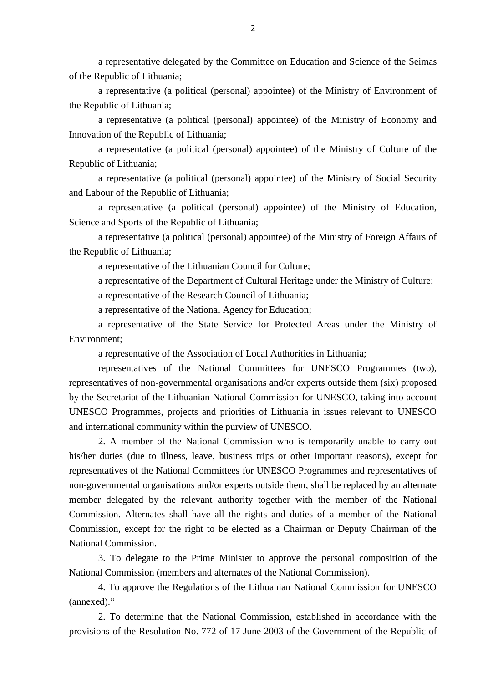a representative delegated by the Committee on Education and Science of the Seimas of the Republic of Lithuania;

a representative (a political (personal) appointee) of the Ministry of Environment of the Republic of Lithuania;

a representative (a political (personal) appointee) of the Ministry of Economy and Innovation of the Republic of Lithuania;

a representative (a political (personal) appointee) of the Ministry of Culture of the Republic of Lithuania;

a representative (a political (personal) appointee) of the Ministry of Social Security and Labour of the Republic of Lithuania;

a representative (a political (personal) appointee) of the Ministry of Education, Science and Sports of the Republic of Lithuania;

a representative (a political (personal) appointee) of the Ministry of Foreign Affairs of the Republic of Lithuania;

a representative of the Lithuanian Council for Culture;

a representative of the Department of Cultural Heritage under the Ministry of Culture;

a representative of the Research Council of Lithuania;

a representative of the National Agency for Education;

a representative of the State Service for Protected Areas under the Ministry of Environment;

a representative of the Association of Local Authorities in Lithuania;

representatives of the National Committees for UNESCO Programmes (two), representatives of non-governmental organisations and/or experts outside them (six) proposed by the Secretariat of the Lithuanian National Commission for UNESCO, taking into account UNESCO Programmes, projects and priorities of Lithuania in issues relevant to UNESCO and international community within the purview of UNESCO.

2. A member of the National Commission who is temporarily unable to carry out his/her duties (due to illness, leave, business trips or other important reasons), except for representatives of the National Committees for UNESCO Programmes and representatives of non-governmental organisations and/or experts outside them, shall be replaced by an alternate member delegated by the relevant authority together with the member of the National Commission. Alternates shall have all the rights and duties of a member of the National Commission, except for the right to be elected as a Chairman or Deputy Chairman of the National Commission.

3. To delegate to the Prime Minister to approve the personal composition of the National Commission (members and alternates of the National Commission).

4. To approve the Regulations of the Lithuanian National Commission for UNESCO (annexed)."

2. To determine that the National Commission, established in accordance with the provisions of the Resolution No. 772 of 17 June 2003 of the Government of the Republic of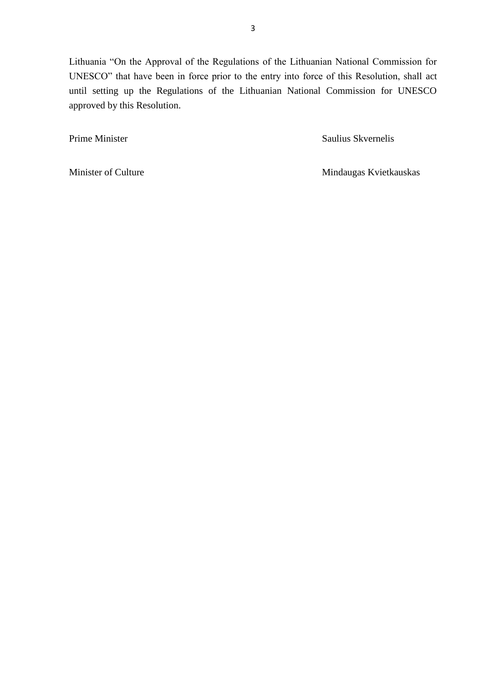Lithuania "On the Approval of the Regulations of the Lithuanian National Commission for UNESCO" that have been in force prior to the entry into force of this Resolution, shall act until setting up the Regulations of the Lithuanian National Commission for UNESCO approved by this Resolution.

Prime Minister Saulius Skvernelis

Minister of Culture Mindaugas Kvietkauskas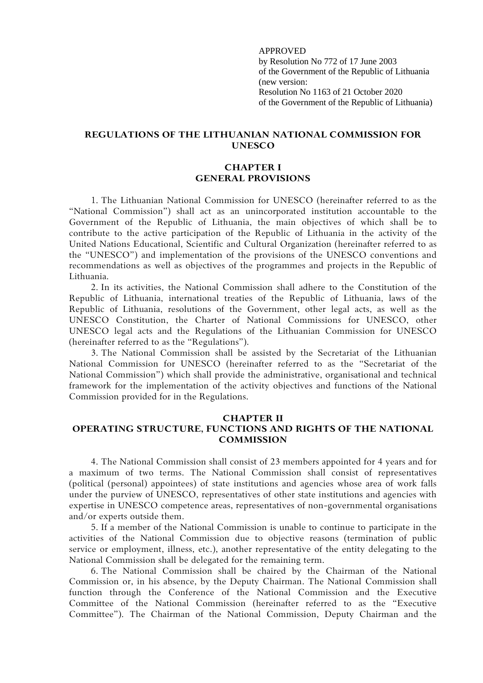APPROVED by Resolution No 772 of 17 June 2003 of the Government of the Republic of Lithuania (new version: Resolution No 1163 of 21 October 2020 of the Government of the Republic of Lithuania)

### **REGULATIONS OF THE LITHUANIAN NATIONAL COMMISSION FOR UNESCO**

### **CHAPTER I GENERAL PROVISIONS**

1. The Lithuanian National Commission for UNESCO (hereinafter referred to as the "National Commission") shall act as an unincorporated institution accountable to the Government of the Republic of Lithuania, the main objectives of which shall be to contribute to the active participation of the Republic of Lithuania in the activity of the United Nations Educational, Scientific and Cultural Organization (hereinafter referred to as the "UNESCO") and implementation of the provisions of the UNESCO conventions and recommendations as well as objectives of the programmes and projects in the Republic of Lithuania.

2. In its activities, the National Commission shall adhere to the Constitution of the Republic of Lithuania, international treaties of the Republic of Lithuania, laws of the Republic of Lithuania, resolutions of the Government, other legal acts, as well as the UNESCO Constitution, the Charter of National Commissions for UNESCO, other UNESCO legal acts and the Regulations of the Lithuanian Commission for UNESCO (hereinafter referred to as the "Regulations").

3. The National Commission shall be assisted by the Secretariat of the Lithuanian National Commission for UNESCO (hereinafter referred to as the "Secretariat of the National Commission") which shall provide the administrative, organisational and technical framework for the implementation of the activity objectives and functions of the National Commission provided for in the Regulations.

#### **CHAPTER II**

### **OPERATING STRUCTURE, FUNCTIONS AND RIGHTS OF THE NATIONAL COMMISSION**

4. The National Commission shall consist of 23 members appointed for 4 years and for a maximum of two terms. The National Commission shall consist of representatives (political (personal) appointees) of state institutions and agencies whose area of work falls under the purview of UNESCO, representatives of other state institutions and agencies with expertise in UNESCO competence areas, representatives of non-governmental organisations and/or experts outside them.

5. If a member of the National Commission is unable to continue to participate in the activities of the National Commission due to objective reasons (termination of public service or employment, illness, etc.), another representative of the entity delegating to the National Commission shall be delegated for the remaining term.

6. The National Commission shall be chaired by the Chairman of the National Commission or, in his absence, by the Deputy Chairman. The National Commission shall function through the Conference of the National Commission and the Executive Committee of the National Commission (hereinafter referred to as the "Executive Committee"). The Chairman of the National Commission, Deputy Chairman and the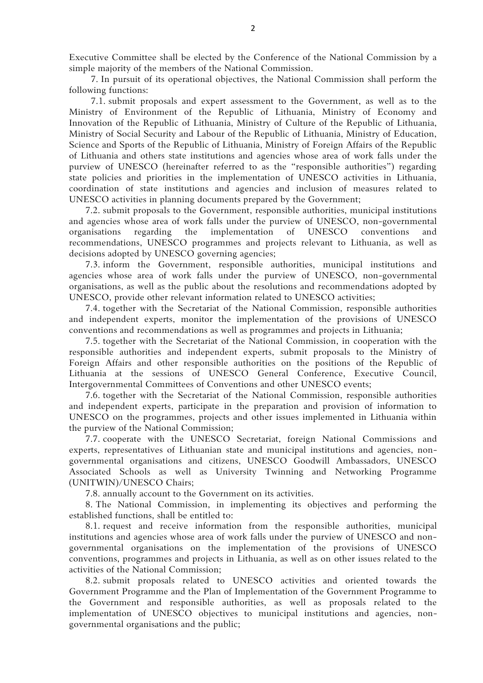Executive Committee shall be elected by the Conference of the National Commission by a simple majority of the members of the National Commission.

7. In pursuit of its operational objectives, the National Commission shall perform the following functions:

7.1. submit proposals and expert assessment to the Government, as well as to the Ministry of Environment of the Republic of Lithuania, Ministry of Economy and Innovation of the Republic of Lithuania, Ministry of Culture of the Republic of Lithuania, Ministry of Social Security and Labour of the Republic of Lithuania, Ministry of Education, Science and Sports of the Republic of Lithuania, Ministry of Foreign Affairs of the Republic of Lithuania and others state institutions and agencies whose area of work falls under the purview of UNESCO (hereinafter referred to as the "responsible authorities") regarding state policies and priorities in the implementation of UNESCO activities in Lithuania, coordination of state institutions and agencies and inclusion of measures related to UNESCO activities in planning documents prepared by the Government;

7.2. submit proposals to the Government, responsible authorities, municipal institutions and agencies whose area of work falls under the purview of UNESCO, non-governmental organisations regarding the implementation of UNESCO conventions and recommendations, UNESCO programmes and projects relevant to Lithuania, as well as decisions adopted by UNESCO governing agencies;

7.3. inform the Government, responsible authorities, municipal institutions and agencies whose area of work falls under the purview of UNESCO, non-governmental organisations, as well as the public about the resolutions and recommendations adopted by UNESCO, provide other relevant information related to UNESCO activities;

7.4. together with the Secretariat of the National Commission, responsible authorities and independent experts, monitor the implementation of the provisions of UNESCO conventions and recommendations as well as programmes and projects in Lithuania;

7.5. together with the Secretariat of the National Commission, in cooperation with the responsible authorities and independent experts, submit proposals to the Ministry of Foreign Affairs and other responsible authorities on the positions of the Republic of Lithuania at the sessions of UNESCO General Conference, Executive Council, Intergovernmental Committees of Conventions and other UNESCO events;

7.6. together with the Secretariat of the National Commission, responsible authorities and independent experts, participate in the preparation and provision of information to UNESCO on the programmes, projects and other issues implemented in Lithuania within the purview of the National Commission;

7.7. cooperate with the UNESCO Secretariat, foreign National Commissions and experts, representatives of Lithuanian state and municipal institutions and agencies, nongovernmental organisations and citizens, UNESCO Goodwill Ambassadors, UNESCO Associated Schools as well as University Twinning and Networking Programme (UNITWIN)/UNESCO Chairs;

7.8. annually account to the Government on its activities.

8. The National Commission, in implementing its objectives and performing the established functions, shall be entitled to:

8.1. request and receive information from the responsible authorities, municipal institutions and agencies whose area of work falls under the purview of UNESCO and nongovernmental organisations on the implementation of the provisions of UNESCO conventions, programmes and projects in Lithuania, as well as on other issues related to the activities of the National Commission;

8.2. submit proposals related to UNESCO activities and oriented towards the Government Programme and the Plan of Implementation of the Government Programme to the Government and responsible authorities, as well as proposals related to the implementation of UNESCO objectives to municipal institutions and agencies, nongovernmental organisations and the public;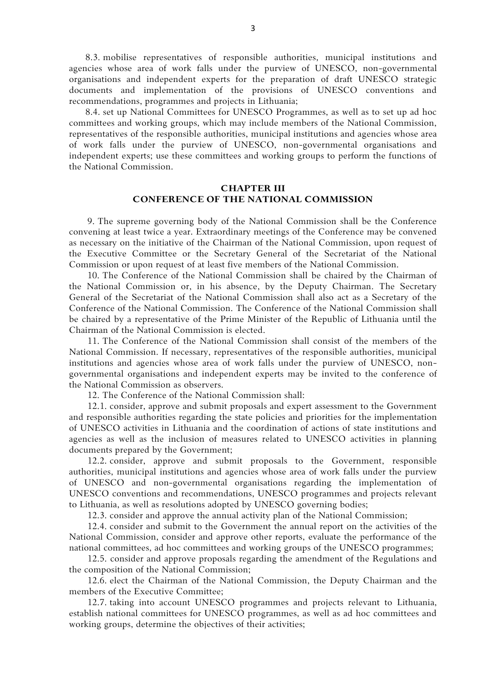8.3. mobilise representatives of responsible authorities, municipal institutions and agencies whose area of work falls under the purview of UNESCO, non-governmental organisations and independent experts for the preparation of draft UNESCO strategic documents and implementation of the provisions of UNESCO conventions and recommendations, programmes and projects in Lithuania;

8.4. set up National Committees for UNESCO Programmes, as well as to set up ad hoc committees and working groups, which may include members of the National Commission, representatives of the responsible authorities, municipal institutions and agencies whose area of work falls under the purview of UNESCO, non-governmental organisations and independent experts; use these committees and working groups to perform the functions of the National Commission.

### **CHAPTER III CONFERENCE OF THE NATIONAL COMMISSION**

9. The supreme governing body of the National Commission shall be the Conference convening at least twice a year. Extraordinary meetings of the Conference may be convened as necessary on the initiative of the Chairman of the National Commission, upon request of the Executive Committee or the Secretary General of the Secretariat of the National Commission or upon request of at least five members of the National Commission.

10. The Conference of the National Commission shall be chaired by the Chairman of the National Commission or, in his absence, by the Deputy Chairman. The Secretary General of the Secretariat of the National Commission shall also act as a Secretary of the Conference of the National Commission. The Conference of the National Commission shall be chaired by a representative of the Prime Minister of the Republic of Lithuania until the Chairman of the National Commission is elected.

11. The Conference of the National Commission shall consist of the members of the National Commission. If necessary, representatives of the responsible authorities, municipal institutions and agencies whose area of work falls under the purview of UNESCO, nongovernmental organisations and independent experts may be invited to the conference of the National Commission as observers.

12. The Conference of the National Commission shall:

12.1. consider, approve and submit proposals and expert assessment to the Government and responsible authorities regarding the state policies and priorities for the implementation of UNESCO activities in Lithuania and the coordination of actions of state institutions and agencies as well as the inclusion of measures related to UNESCO activities in planning documents prepared by the Government;

12.2. consider, approve and submit proposals to the Government, responsible authorities, municipal institutions and agencies whose area of work falls under the purview of UNESCO and non-governmental organisations regarding the implementation of UNESCO conventions and recommendations, UNESCO programmes and projects relevant to Lithuania, as well as resolutions adopted by UNESCO governing bodies;

12.3. consider and approve the annual activity plan of the National Commission;

12.4. consider and submit to the Government the annual report on the activities of the National Commission, consider and approve other reports, evaluate the performance of the national committees, ad hoc committees and working groups of the UNESCO programmes;

12.5. consider and approve proposals regarding the amendment of the Regulations and the composition of the National Commission;

12.6. elect the Chairman of the National Commission, the Deputy Chairman and the members of the Executive Committee;

12.7. taking into account UNESCO programmes and projects relevant to Lithuania, establish national committees for UNESCO programmes, as well as ad hoc committees and working groups, determine the objectives of their activities;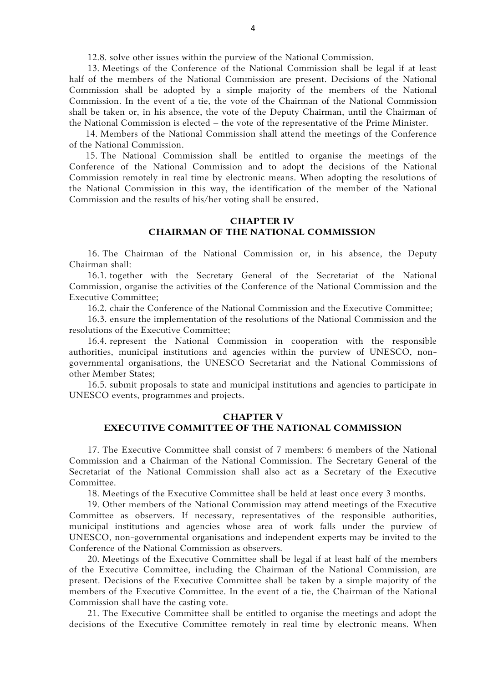12.8. solve other issues within the purview of the National Commission.

13. Meetings of the Conference of the National Commission shall be legal if at least half of the members of the National Commission are present. Decisions of the National Commission shall be adopted by a simple majority of the members of the National Commission. In the event of a tie, the vote of the Chairman of the National Commission shall be taken or, in his absence, the vote of the Deputy Chairman, until the Chairman of the National Commission is elected – the vote of the representative of the Prime Minister.

14. Members of the National Commission shall attend the meetings of the Conference of the National Commission.

15. The National Commission shall be entitled to organise the meetings of the Conference of the National Commission and to adopt the decisions of the National Commission remotely in real time by electronic means. When adopting the resolutions of the National Commission in this way, the identification of the member of the National Commission and the results of his/her voting shall be ensured.

### **CHAPTER IV CHAIRMAN OF THE NATIONAL COMMISSION**

16. The Chairman of the National Commission or, in his absence, the Deputy Chairman shall:

16.1. together with the Secretary General of the Secretariat of the National Commission, organise the activities of the Conference of the National Commission and the Executive Committee;

16.2. chair the Conference of the National Commission and the Executive Committee;

16.3. ensure the implementation of the resolutions of the National Commission and the resolutions of the Executive Committee;

16.4. represent the National Commission in cooperation with the responsible authorities, municipal institutions and agencies within the purview of UNESCO, nongovernmental organisations, the UNESCO Secretariat and the National Commissions of other Member States;

16.5. submit proposals to state and municipal institutions and agencies to participate in UNESCO events, programmes and projects.

### **CHAPTER V EXECUTIVE COMMITTEE OF THE NATIONAL COMMISSION**

17. The Executive Committee shall consist of 7 members: 6 members of the National Commission and a Chairman of the National Commission. The Secretary General of the Secretariat of the National Commission shall also act as a Secretary of the Executive Committee.

18. Meetings of the Executive Committee shall be held at least once every 3 months.

19. Other members of the National Commission may attend meetings of the Executive Committee as observers. If necessary, representatives of the responsible authorities, municipal institutions and agencies whose area of work falls under the purview of UNESCO, non-governmental organisations and independent experts may be invited to the Conference of the National Commission as observers.

20. Meetings of the Executive Committee shall be legal if at least half of the members of the Executive Committee, including the Chairman of the National Commission, are present. Decisions of the Executive Committee shall be taken by a simple majority of the members of the Executive Committee. In the event of a tie, the Chairman of the National Commission shall have the casting vote.

21. The Executive Committee shall be entitled to organise the meetings and adopt the decisions of the Executive Committee remotely in real time by electronic means. When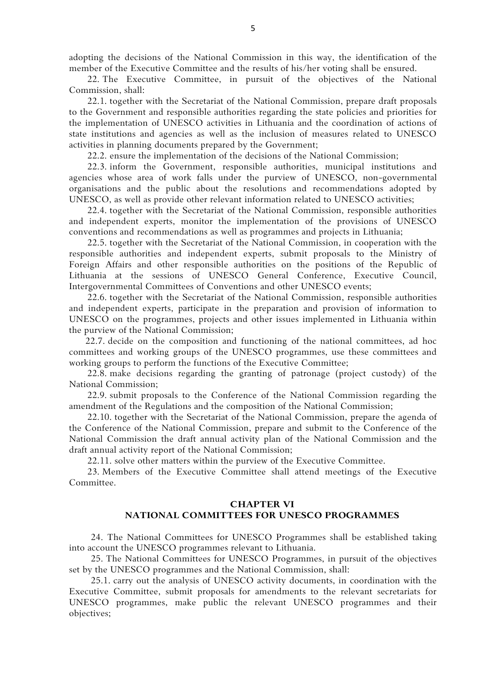adopting the decisions of the National Commission in this way, the identification of the member of the Executive Committee and the results of his/her voting shall be ensured.

22. The Executive Committee, in pursuit of the objectives of the National Commission, shall:

22.1. together with the Secretariat of the National Commission, prepare draft proposals to the Government and responsible authorities regarding the state policies and priorities for the implementation of UNESCO activities in Lithuania and the coordination of actions of state institutions and agencies as well as the inclusion of measures related to UNESCO activities in planning documents prepared by the Government;

22.2. ensure the implementation of the decisions of the National Commission;

22.3. inform the Government, responsible authorities, municipal institutions and agencies whose area of work falls under the purview of UNESCO, non-governmental organisations and the public about the resolutions and recommendations adopted by UNESCO, as well as provide other relevant information related to UNESCO activities;

22.4. together with the Secretariat of the National Commission, responsible authorities and independent experts, monitor the implementation of the provisions of UNESCO conventions and recommendations as well as programmes and projects in Lithuania;

22.5. together with the Secretariat of the National Commission, in cooperation with the responsible authorities and independent experts, submit proposals to the Ministry of Foreign Affairs and other responsible authorities on the positions of the Republic of Lithuania at the sessions of UNESCO General Conference, Executive Council, Intergovernmental Committees of Conventions and other UNESCO events;

22.6. together with the Secretariat of the National Commission, responsible authorities and independent experts, participate in the preparation and provision of information to UNESCO on the programmes, projects and other issues implemented in Lithuania within the purview of the National Commission;

22.7. decide on the composition and functioning of the national committees, ad hoc committees and working groups of the UNESCO programmes, use these committees and working groups to perform the functions of the Executive Committee;

22.8. make decisions regarding the granting of patronage (project custody) of the National Commission;

22.9. submit proposals to the Conference of the National Commission regarding the amendment of the Regulations and the composition of the National Commission;

22.10. together with the Secretariat of the National Commission, prepare the agenda of the Conference of the National Commission, prepare and submit to the Conference of the National Commission the draft annual activity plan of the National Commission and the draft annual activity report of the National Commission;

22.11. solve other matters within the purview of the Executive Committee.

23. Members of the Executive Committee shall attend meetings of the Executive Committee.

### **CHAPTER VI NATIONAL COMMITTEES FOR UNESCO PROGRAMMES**

24. The National Committees for UNESCO Programmes shall be established taking into account the UNESCO programmes relevant to Lithuania.

25. The National Committees for UNESCO Programmes, in pursuit of the objectives set by the UNESCO programmes and the National Commission, shall:

25.1. carry out the analysis of UNESCO activity documents, in coordination with the Executive Committee, submit proposals for amendments to the relevant secretariats for UNESCO programmes, make public the relevant UNESCO programmes and their objectives;